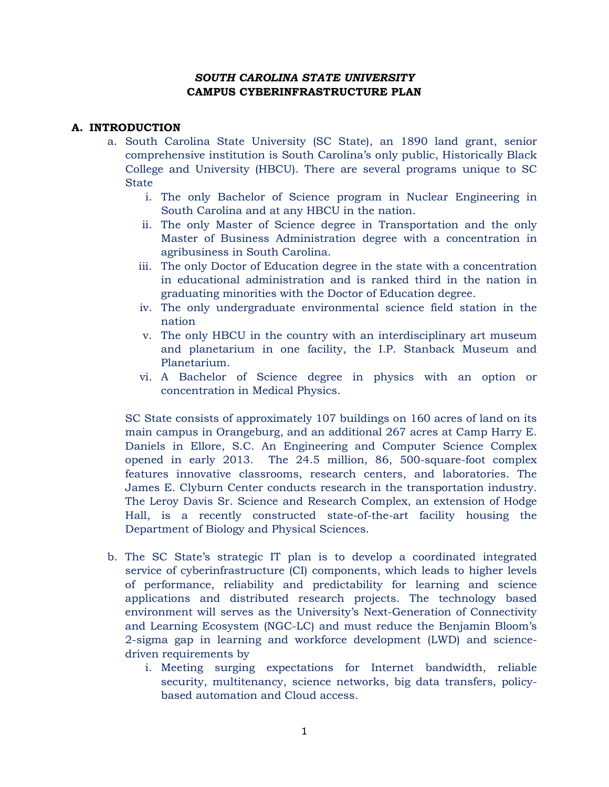#### *SOUTH CAROLINA STATE UNIVERSITY* **CAMPUS CYBERINFRASTRUCTURE PLAN**

#### **A. INTRODUCTION**

- a. South Carolina State University (SC State), an 1890 land grant, senior comprehensive institution is South Carolina's only public, Historically Black College and University (HBCU). There are several programs unique to SC State
	- i. The only Bachelor of Science program in Nuclear Engineering in South Carolina and at any HBCU in the nation.
	- ii. The only Master of Science degree in Transportation and the only Master of Business Administration degree with a concentration in agribusiness in South Carolina.
	- iii. The only Doctor of Education degree in the state with a concentration in educational administration and is ranked third in the nation in graduating minorities with the Doctor of Education degree.
	- iv. The only undergraduate environmental science field station in the nation
	- v. The only HBCU in the country with an interdisciplinary art museum and planetarium in one facility, the I.P. Stanback Museum and Planetarium.
	- vi. A Bachelor of Science degree in physics with an option or concentration in Medical Physics.

SC State consists of approximately 107 buildings on 160 acres of land on its main campus in Orangeburg, and an additional 267 acres at Camp Harry E. Daniels in Ellore, S.C. An Engineering and Computer Science Complex opened in early 2013. The 24.5 million, 86, 500-square-foot complex features innovative classrooms, research centers, and laboratories. The James E. Clyburn Center conducts research in the transportation industry. The Leroy Davis Sr. Science and Research Complex, an extension of Hodge Hall, is a recently constructed state-of-the-art facility housing the Department of Biology and Physical Sciences.

- b. The SC State's strategic IT plan is to develop a coordinated integrated service of cyberinfrastructure (CI) components, which leads to higher levels of performance, reliability and predictability for learning and science applications and distributed research projects. The technology based environment will serves as the University's Next-Generation of Connectivity and Learning Ecosystem (NGC-LC) and must reduce the Benjamin Bloom's 2-sigma gap in learning and workforce development (LWD) and sciencedriven requirements by
	- i. Meeting surging expectations for Internet bandwidth, reliable security, multitenancy, science networks, big data transfers, policybased automation and Cloud access.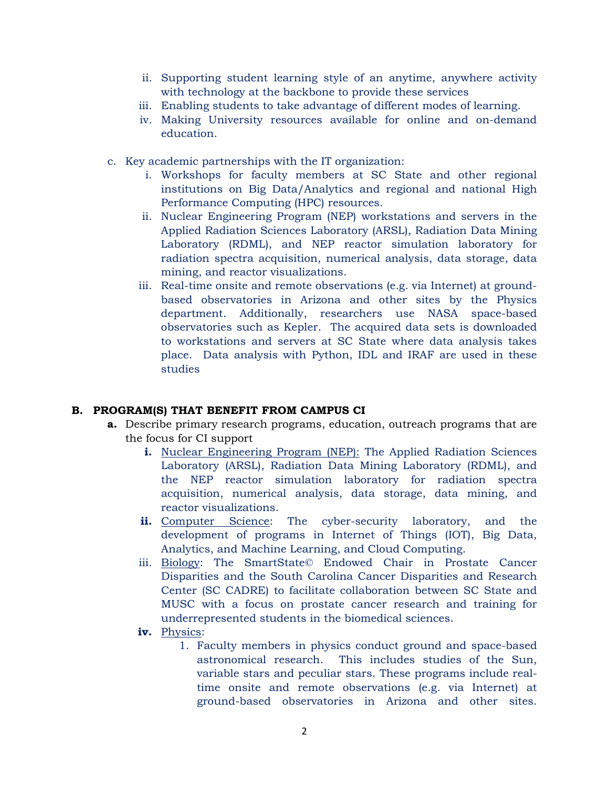- ii. Supporting student learning style of an anytime, anywhere activity with technology at the backbone to provide these services
- iii. Enabling students to take advantage of different modes of learning.
- iv. Making University resources available for online and on-demand education.
- c. Key academic partnerships with the IT organization:
	- i. Workshops for faculty members at SC State and other regional institutions on Big Data/Analytics and regional and national High Performance Computing (HPC) resources.
	- ii. Nuclear Engineering Program (NEP) workstations and servers in the Applied Radiation Sciences Laboratory (ARSL), Radiation Data Mining Laboratory (RDML), and NEP reactor simulation laboratory for radiation spectra acquisition, numerical analysis, data storage, data mining, and reactor visualizations.
	- iii. Real-time onsite and remote observations (e.g. via Internet) at groundbased observatories in Arizona and other sites by the Physics department. Additionally, researchers use NASA space-based observatories such as Kepler. The acquired data sets is downloaded to workstations and servers at SC State where data analysis takes place. Data analysis with Python, IDL and IRAF are used in these studies

#### **B. PROGRAM(S) THAT BENEFIT FROM CAMPUS CI**

- **a.** Describe primary research programs, education, outreach programs that are the focus for CI support
	- **i.** Nuclear Engineering Program (NEP): The Applied Radiation Sciences Laboratory (ARSL), Radiation Data Mining Laboratory (RDML), and the NEP reactor simulation laboratory for radiation spectra acquisition, numerical analysis, data storage, data mining, and reactor visualizations.
	- **ii.** Computer Science: The cyber-security laboratory, and the development of programs in Internet of Things (IOT), Big Data, Analytics, and Machine Learning, and Cloud Computing.
	- iii. Biology: The SmartState© Endowed Chair in Prostate Cancer Disparities and the South Carolina Cancer Disparities and Research Center (SC CADRE) to facilitate collaboration between SC State and MUSC with a focus on prostate cancer research and training for underrepresented students in the biomedical sciences.
	- **iv.** Physics:
		- 1. Faculty members in physics conduct ground and space-based astronomical research. This includes studies of the Sun, variable stars and peculiar stars. These programs include realtime onsite and remote observations (e.g. via Internet) at ground-based observatories in Arizona and other sites.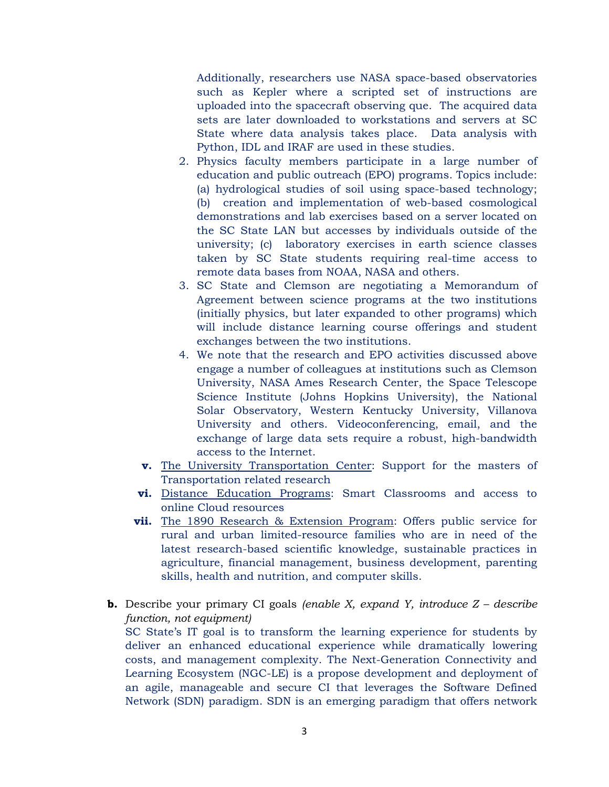Additionally, researchers use NASA space-based observatories such as Kepler where a scripted set of instructions are uploaded into the spacecraft observing que. The acquired data sets are later downloaded to workstations and servers at SC State where data analysis takes place. Data analysis with Python, IDL and IRAF are used in these studies.

- 2. Physics faculty members participate in a large number of education and public outreach (EPO) programs. Topics include: (a) hydrological studies of soil using space-based technology; (b) creation and implementation of web-based cosmological demonstrations and lab exercises based on a server located on the SC State LAN but accesses by individuals outside of the university; (c) laboratory exercises in earth science classes taken by SC State students requiring real-time access to remote data bases from NOAA, NASA and others.
- 3. SC State and Clemson are negotiating a Memorandum of Agreement between science programs at the two institutions (initially physics, but later expanded to other programs) which will include distance learning course offerings and student exchanges between the two institutions.
- 4. We note that the research and EPO activities discussed above engage a number of colleagues at institutions such as Clemson University, NASA Ames Research Center, the Space Telescope Science Institute (Johns Hopkins University), the National Solar Observatory, Western Kentucky University, Villanova University and others. Videoconferencing, email, and the exchange of large data sets require a robust, high-bandwidth access to the Internet.
- **v.** The University Transportation Center: Support for the masters of Transportation related research
- **vi.** Distance Education Programs: Smart Classrooms and access to online Cloud resources
- **vii.** The 1890 Research & Extension Program: Offers public service for rural and urban limited-resource families who are in need of the latest research-based scientific knowledge, sustainable practices in agriculture, financial management, business development, parenting skills, health and nutrition, and computer skills.
- **b.** Describe your primary CI goals *(enable X, expand Y, introduce Z – describe function, not equipment)* SC State's IT goal is to transform the learning experience for students by deliver an enhanced educational experience while dramatically lowering costs, and management complexity. The Next-Generation Connectivity and Learning Ecosystem (NGC-LE) is a propose development and deployment of an agile, manageable and secure CI that leverages the Software Defined Network (SDN) paradigm. SDN is an emerging paradigm that offers network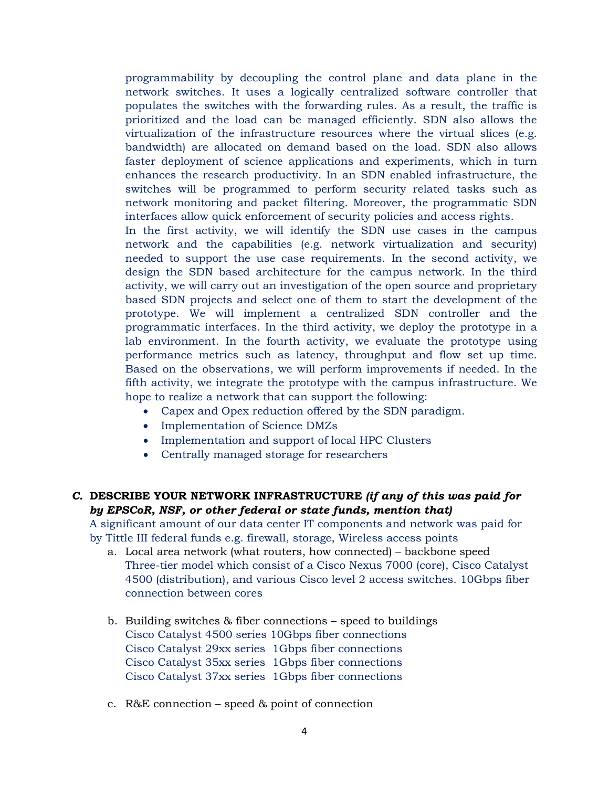programmability by decoupling the control plane and data plane in the network switches. It uses a logically centralized software controller that populates the switches with the forwarding rules. As a result, the traffic is prioritized and the load can be managed efficiently. SDN also allows the virtualization of the infrastructure resources where the virtual slices (e.g. bandwidth) are allocated on demand based on the load. SDN also allows faster deployment of science applications and experiments, which in turn enhances the research productivity. In an SDN enabled infrastructure, the switches will be programmed to perform security related tasks such as network monitoring and packet filtering. Moreover, the programmatic SDN interfaces allow quick enforcement of security policies and access rights.

In the first activity, we will identify the SDN use cases in the campus network and the capabilities (e.g. network virtualization and security) needed to support the use case requirements. In the second activity, we design the SDN based architecture for the campus network. In the third activity, we will carry out an investigation of the open source and proprietary based SDN projects and select one of them to start the development of the prototype. We will implement a centralized SDN controller and the programmatic interfaces. In the third activity, we deploy the prototype in a lab environment. In the fourth activity, we evaluate the prototype using performance metrics such as latency, throughput and flow set up time. Based on the observations, we will perform improvements if needed. In the fifth activity, we integrate the prototype with the campus infrastructure. We hope to realize a network that can support the following:

- Capex and Opex reduction offered by the SDN paradigm.
- Implementation of Science DMZs
- Implementation and support of local HPC Clusters
- Centrally managed storage for researchers

### *C.* **DESCRIBE YOUR NETWORK INFRASTRUCTURE** *(if any of this was paid for by EPSCoR, NSF, or other federal or state funds, mention that)*

A significant amount of our data center IT components and network was paid for by Tittle III federal funds e.g. firewall, storage, Wireless access points

- a. Local area network (what routers, how connected) backbone speed Three-tier model which consist of a Cisco Nexus 7000 (core), Cisco Catalyst 4500 (distribution), and various Cisco level 2 access switches. 10Gbps fiber connection between cores
- b. Building switches & fiber connections speed to buildings Cisco Catalyst 4500 series 10Gbps fiber connections Cisco Catalyst 29xx series 1Gbps fiber connections Cisco Catalyst 35xx series 1Gbps fiber connections Cisco Catalyst 37xx series 1Gbps fiber connections
- c. R&E connection speed & point of connection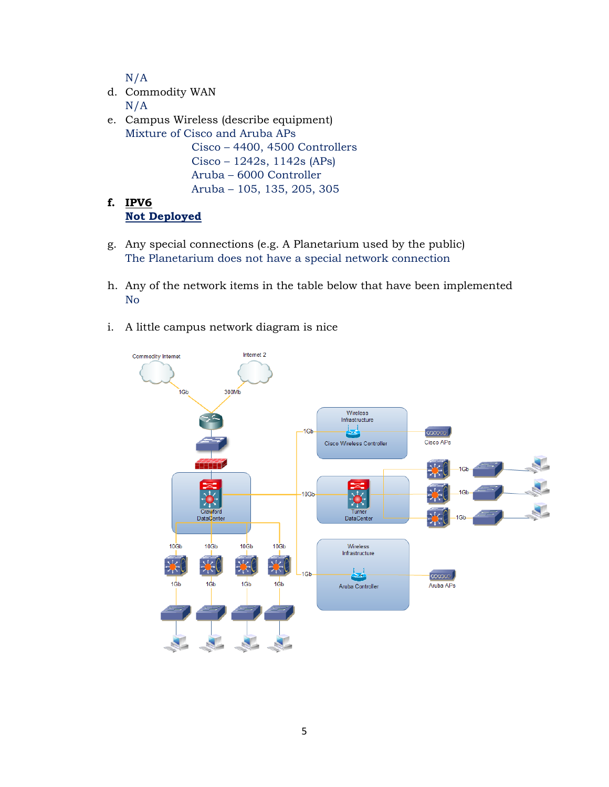N/A

- d. Commodity WAN N/A
- e. Campus Wireless (describe equipment) Mixture of Cisco and Aruba APs Cisco – 4400, 4500 Controllers Cisco – 1242s, 1142s (APs) Aruba – 6000 Controller Aruba – 105, 135, 205, 305

# **f. IPV6 Not Deployed**

- g. Any special connections (e.g. A Planetarium used by the public) The Planetarium does not have a special network connection
- h. Any of the network items in the table below that have been implemented No
- i. A little campus network diagram is nice

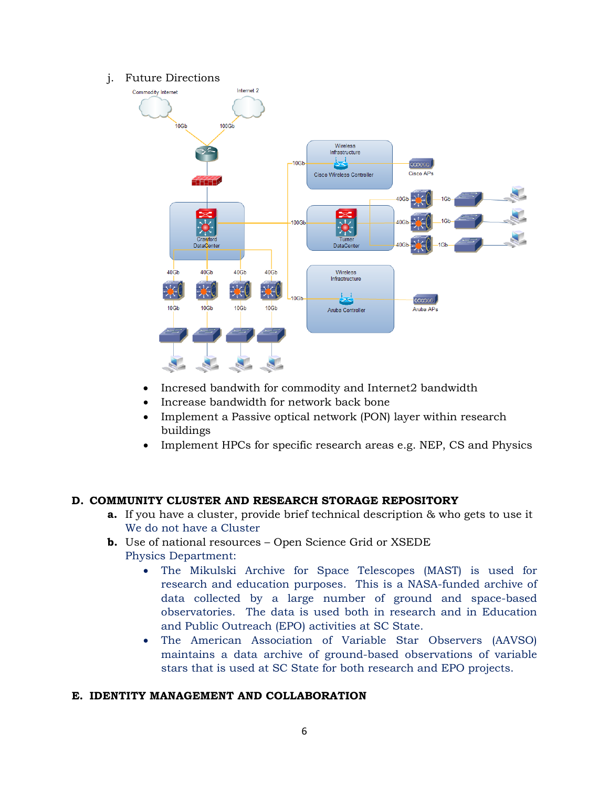#### j. Future Directions



- Incresed bandwith for commodity and Internet2 bandwidth
- Increase bandwidth for network back bone
- Implement a Passive optical network (PON) layer within research buildings
- Implement HPCs for specific research areas e.g. NEP, CS and Physics

### **D. COMMUNITY CLUSTER AND RESEARCH STORAGE REPOSITORY**

- **a.** If you have a cluster, provide brief technical description & who gets to use it We do not have a Cluster
- **b.** Use of national resources Open Science Grid or XSEDE Physics Department:
	- The Mikulski Archive for Space Telescopes (MAST) is used for research and education purposes. This is a NASA-funded archive of data collected by a large number of ground and space-based observatories. The data is used both in research and in Education and Public Outreach (EPO) activities at SC State.
	- The American Association of Variable Star Observers (AAVSO) maintains a data archive of ground-based observations of variable stars that is used at SC State for both research and EPO projects.

#### **E. IDENTITY MANAGEMENT AND COLLABORATION**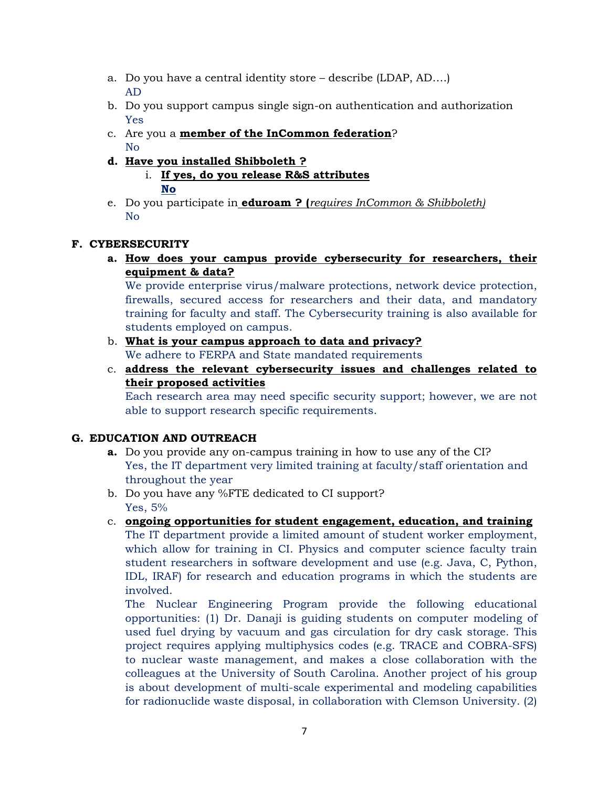- a. Do you have a central identity store describe (LDAP, AD….) AD
- b. Do you support campus single sign-on authentication and authorization Yes
- c. Are you a **member of the InCommon federation**? No
- **d. Have you installed Shibboleth ?**
	- i. **If yes, do you release R&S attributes No**
- e. Do you participate in **eduroam ? (***requires InCommon & Shibboleth)* No

## **F. CYBERSECURITY**

**a. How does your campus provide cybersecurity for researchers, their equipment & data?**

We provide enterprise virus/malware protections, network device protection, firewalls, secured access for researchers and their data, and mandatory training for faculty and staff. The Cybersecurity training is also available for students employed on campus.

- b. **What is your campus approach to data and privacy?** We adhere to FERPA and State mandated requirements
- c. **address the relevant cybersecurity issues and challenges related to their proposed activities**

Each research area may need specific security support; however, we are not able to support research specific requirements.

### **G. EDUCATION AND OUTREACH**

- **a.** Do you provide any on-campus training in how to use any of the CI? Yes, the IT department very limited training at faculty/staff orientation and throughout the year
- b. Do you have any %FTE dedicated to CI support? Yes, 5%
- c. **ongoing opportunities for student engagement, education, and training**

The IT department provide a limited amount of student worker employment, which allow for training in CI. Physics and computer science faculty train student researchers in software development and use (e.g. Java, C, Python, IDL, IRAF) for research and education programs in which the students are involved.

The Nuclear Engineering Program provide the following educational opportunities: (1) Dr. Danaji is guiding students on computer modeling of used fuel drying by vacuum and gas circulation for dry cask storage. This project requires applying multiphysics codes (e.g. TRACE and COBRA-SFS) to nuclear waste management, and makes a close collaboration with the colleagues at the University of South Carolina. Another project of his group is about development of multi-scale experimental and modeling capabilities for radionuclide waste disposal, in collaboration with Clemson University. (2)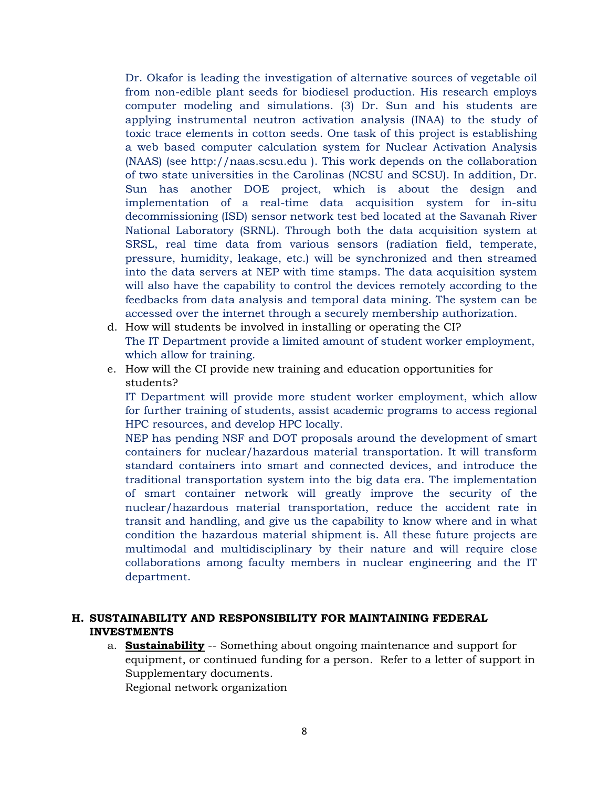Dr. Okafor is leading the investigation of alternative sources of vegetable oil from non-edible plant seeds for biodiesel production. His research employs computer modeling and simulations. (3) Dr. Sun and his students are applying instrumental neutron activation analysis (INAA) to the study of toxic trace elements in cotton seeds. One task of this project is establishing a web based computer calculation system for Nuclear Activation Analysis (NAAS) (see http://naas.scsu.edu ). This work depends on the collaboration of two state universities in the Carolinas (NCSU and SCSU). In addition, Dr. Sun has another DOE project, which is about the design and implementation of a real-time data acquisition system for in-situ decommissioning (ISD) sensor network test bed located at the Savanah River National Laboratory (SRNL). Through both the data acquisition system at SRSL, real time data from various sensors (radiation field, temperate, pressure, humidity, leakage, etc.) will be synchronized and then streamed into the data servers at NEP with time stamps. The data acquisition system will also have the capability to control the devices remotely according to the feedbacks from data analysis and temporal data mining. The system can be accessed over the internet through a securely membership authorization.

- d. How will students be involved in installing or operating the CI? The IT Department provide a limited amount of student worker employment, which allow for training.
- e. How will the CI provide new training and education opportunities for students?

IT Department will provide more student worker employment, which allow for further training of students, assist academic programs to access regional HPC resources, and develop HPC locally.

NEP has pending NSF and DOT proposals around the development of smart containers for nuclear/hazardous material transportation. It will transform standard containers into smart and connected devices, and introduce the traditional transportation system into the big data era. The implementation of smart container network will greatly improve the security of the nuclear/hazardous material transportation, reduce the accident rate in transit and handling, and give us the capability to know where and in what condition the hazardous material shipment is. All these future projects are multimodal and multidisciplinary by their nature and will require close collaborations among faculty members in nuclear engineering and the IT department.

### **H. SUSTAINABILITY AND RESPONSIBILITY FOR MAINTAINING FEDERAL INVESTMENTS**

a. **Sustainability** -- Something about ongoing maintenance and support for equipment, or continued funding for a person. Refer to a letter of support in Supplementary documents. Regional network organization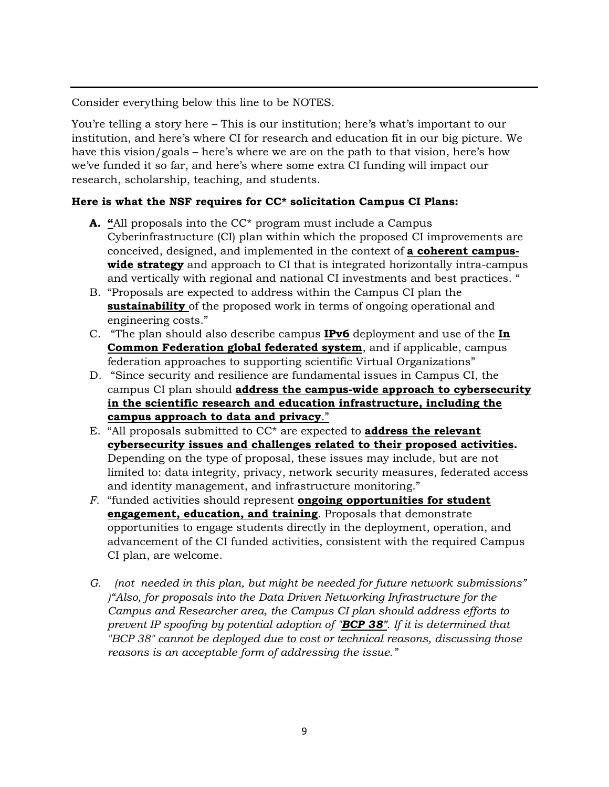Consider everything below this line to be NOTES.

You're telling a story here – This is our institution; here's what's important to our institution, and here's where CI for research and education fit in our big picture. We have this vision/goals – here's where we are on the path to that vision, here's how we've funded it so far, and here's where some extra CI funding will impact our research, scholarship, teaching, and students.

## **Here is what the NSF requires for CC\* solicitation Campus CI Plans:**

- **A. "**All proposals into the CC\* program must include a Campus Cyberinfrastructure (CI) plan within which the proposed CI improvements are conceived, designed, and implemented in the context of **a coherent campuswide strategy** and approach to CI that is integrated horizontally intra-campus and vertically with regional and national CI investments and best practices. "
- B. "Proposals are expected to address within the Campus CI plan the **sustainability** of the proposed work in terms of ongoing operational and engineering costs."
- C. "The plan should also describe campus **IPv6** deployment and use of the **In Common Federation global federated system**, and if applicable, campus federation approaches to supporting scientific Virtual Organizations"
- D. "Since security and resilience are fundamental issues in Campus CI, the campus CI plan should **address the campus-wide approach to cybersecurity in the scientific research and education infrastructure, including the campus approach to data and privacy**."
- E. "All proposals submitted to CC\* are expected to **address the relevant cybersecurity issues and challenges related to their proposed activities.** Depending on the type of proposal, these issues may include, but are not limited to: data integrity, privacy, network security measures, federated access and identity management, and infrastructure monitoring."
- *F.* "funded activities should represent **ongoing opportunities for student engagement, education, and training**. Proposals that demonstrate opportunities to engage students directly in the deployment, operation, and advancement of the CI funded activities, consistent with the required Campus CI plan, are welcome.
- *G. (not needed in this plan, but might be needed for future network submissions" )"Also, for proposals into the Data Driven Networking Infrastructure for the Campus and Researcher area, the Campus CI plan should address efforts to prevent IP spoofing by potential adoption of "BCP 38". If it is determined that "BCP 38" cannot be deployed due to cost or technical reasons, discussing those reasons is an acceptable form of addressing the issue."*